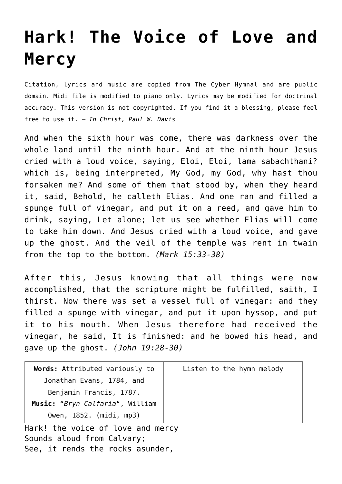## **[Hark! The Voice of Love and](http://reproachofmen.org/hymns-and-music/hark-the-voice-of-love-and-mercy/) [Mercy](http://reproachofmen.org/hymns-and-music/hark-the-voice-of-love-and-mercy/)**

Citation, lyrics and music are copied from [The Cyber Hymnal](http://www.hymntime.com/tch/index.htm) and are public domain. Midi file is modified to piano only. Lyrics may be modified for doctrinal accuracy. This version is not copyrighted. If you find it a blessing, please feel free to use it. — *In Christ, Paul W. Davis*

And when the sixth hour was come, there was darkness over the whole land until the ninth hour. And at the ninth hour Jesus cried with a loud voice, saying, Eloi, Eloi, lama sabachthani? which is, being interpreted, My God, my God, why hast thou forsaken me? And some of them that stood by, when they heard it, said, Behold, he calleth Elias. And one ran and filled a spunge full of vinegar, and put it on a reed, and gave him to drink, saying, Let alone; let us see whether Elias will come to take him down. And Jesus cried with a loud voice, and gave up the ghost. And the veil of the temple was rent in twain from the top to the bottom. *(Mark 15:33-38)*

After this, Jesus knowing that all things were now accomplished, that the scripture might be fulfilled, saith, I thirst. Now there was set a vessel full of vinegar: and they filled a spunge with vinegar, and put it upon hyssop, and put it to his mouth. When Jesus therefore had received the vinegar, he said, It is finished: and he bowed his head, and gave up the ghost. *(John 19:28-30)*

| Words: Attributed variously to  | Listen to the hymn melody |
|---------------------------------|---------------------------|
| Jonathan Evans, 1784, and       |                           |
| Benjamin Francis, 1787.         |                           |
| Music: "Bryn Calfaria", William |                           |
| Owen, 1852. (midi, mp3)         |                           |

Hark! the voice of love and mercy Sounds aloud from Calvary; See, it rends the rocks asunder,